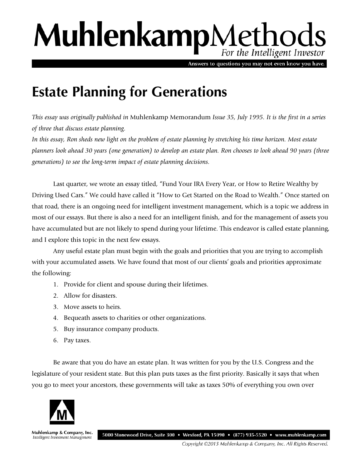## MuhlenkampMethods For the Intelligent Investor

Answers to questions you may not even know you have.

## **Estate Planning for Generations**

*This essay was originally published in* Muhlenkamp Memorandum *Issue 35, July 1995. It is the first in a series of three that discuss estate planning.* 

*In this essay, Ron sheds new light on the problem of estate planning by stretching his time horizon. Most estate planners look ahead 30 years (one generation) to develop an estate plan. Ron chooses to look ahead 90 years (three generations) to see the long-term impact of estate planning decisions.*

Last quarter, we wrote an essay titled, "Fund Your IRA Every Year, or How to Retire Wealthy by Driving Used Cars." We could have called it "How to Get Started on the Road to Wealth." Once started on that road, there is an ongoing need for intelligent investment management, which is a topic we address in most of our essays. But there is also a need for an intelligent finish, and for the management of assets you have accumulated but are not likely to spend during your lifetime. This endeavor is called estate planning, and I explore this topic in the next few essays.

Any useful estate plan must begin with the goals and priorities that you are trying to accomplish with your accumulated assets. We have found that most of our clients' goals and priorities approximate the following:

- 1. Provide for client and spouse during their lifetimes.
- 2. Allow for disasters.
- 3. Move assets to heirs.
- 4. Bequeath assets to charities or other organizations.
- 5. Buy insurance company products.
- 6. Pay taxes.

Be aware that you do have an estate plan. It was written for you by the U.S. Congress and the legislature of your resident state. But this plan puts taxes as the first priority. Basically it says that when you go to meet your ancestors, these governments will take as taxes 50% of everything you own over



Muhlenkamp & Company, Inc. Intelligent Investment Management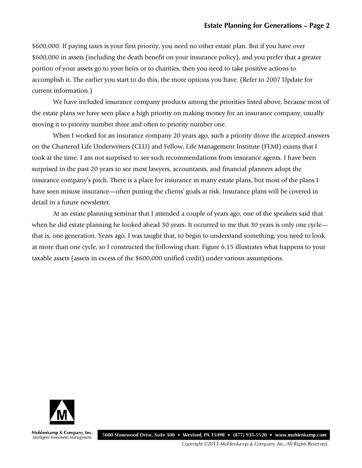\$600,000. If paying taxes is your first priority, you need no other estate plan. But if you have over \$600,000 in assets (including the death benefit on your insurance policy), and you prefer that a greater portion of your assets go to your heirs or to charities, then you need to take positive actions to accomplish it. The earlier you start to do this, the more options you have. (Refer to 2007 Update for current information.)

We have included insurance company products among the priorities listed above, because most of the estate plans we have seen place a high priority on making money for an insurance company, usually moving it to priority number three and often to priority number one.

When I worked for an insurance company 20 years ago, such a priority drove the accepted answers on the Chartered Life Underwriters (CLU) and Fellow, Life Management Institute (FLMI) exams that I took at the time. I am not surprised to see such recommendations from insurance agents. I have been surprised in the past 20 years to see most lawyers, accountants, and financial planners adopt the insurance company's pitch. There is a place for insurance in many estate plans, but most of the plans I have seen misuse insurance—often putting the clients' goals at risk. Insurance plans will be covered in detail in a future newsletter.

At an estate planning seminar that I attended a couple of years ago, one of the speakers said that when he did estate planning he looked ahead 30 years. It occurred to me that 30 years is only one cycle that is, one generation. Years ago, I was taught that, to begin to understand something, you need to look at more than one cycle, so I constructed the following chart. Figure 6.15 illustrates what happens to your taxable assets (assets in excess of the \$600,000 unified credit) under various assumptions.



Muhlenkamp & Company, Inc. Intelligent Investment Management

5000 Stonewood Drive, Suite 300 • Wexford, PA 15090 • (877) 935-5520 • www.muhlenkamp.com

Copyright ©2015 Muhlenkamp & Company, Inc. All Rights Reserved.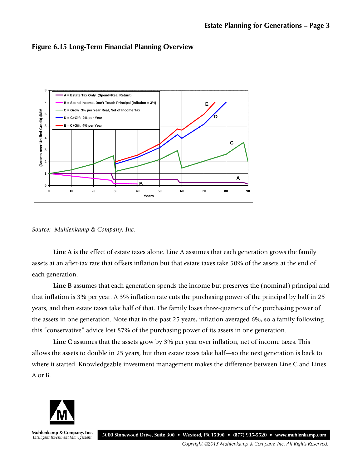

**Figure 6.15 Long-Term Financial Planning Overview**



**Line A** is the effect of estate taxes alone. Line A assumes that each generation grows the family assets at an after-tax rate that offsets inflation but that estate taxes take 50% of the assets at the end of each generation.

**Line B** assumes that each generation spends the income but preserves the (nominal) principal and that inflation is 3% per year. A 3% inflation rate cuts the purchasing power of the principal by half in 25 years, and then estate taxes take half of that. The family loses three-quarters of the purchasing power of the assets in one generation. Note that in the past 25 years, inflation averaged 6%, so a family following this "conservative" advice lost 87% of the purchasing power of its assets in one generation.

**Line C** assumes that the assets grow by 3% per year over inflation, net of income taxes. This allows the assets to double in 25 years, but then estate taxes take half—so the next generation is back to where it started. Knowledgeable investment management makes the difference between Line C and Lines A or B.



Muhlenkamp & Company, Inc. 5000 Stonewood Drive, Suite 300 • Wexford, PA 15090 • (877) 935-5520 • www.muhlenkamp.com Intelligent Investment Management

Copyright ©2015 Muhlenkamp & Company, Inc. All Rights Reserved.